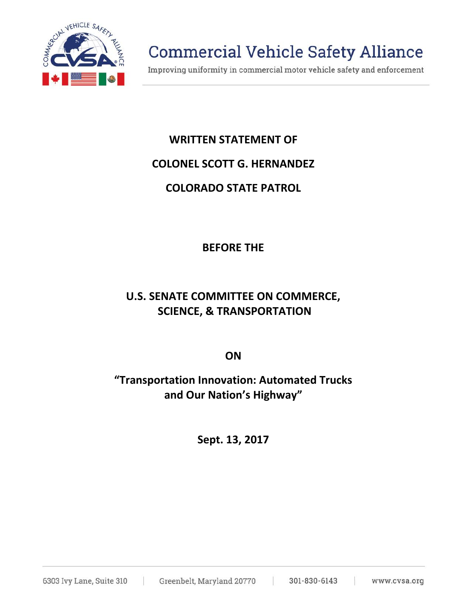

# **Commercial Vehicle Safety Alliance**

Improving uniformity in commercial motor vehicle safety and enforcement

#### **WRITTEN STATEMENT OF**

#### **COLONEL SCOTT G. HERNANDEZ**

#### **COLORADO STATE PATROL**

## **BEFORE THE**

# **U.S. SENATE COMMITTEE ON COMMERCE, SCIENCE, & TRANSPORTATION**

**ON**

## **"Transportation Innovation: Automated Trucks and Our Nation's Highway"**

**Sept. 13, 2017**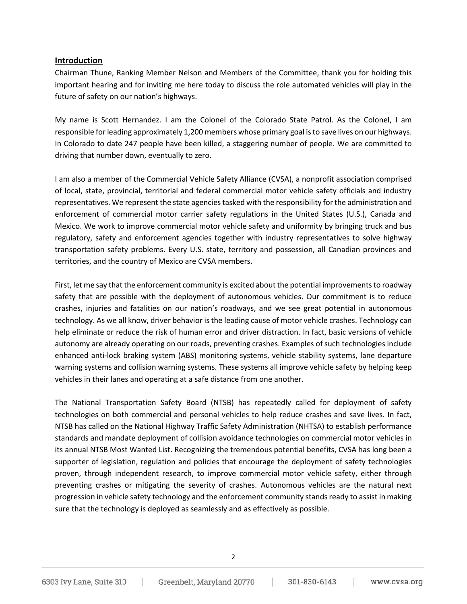#### **Introduction**

Chairman Thune, Ranking Member Nelson and Members of the Committee, thank you for holding this important hearing and for inviting me here today to discuss the role automated vehicles will play in the future of safety on our nation's highways.

My name is Scott Hernandez. I am the Colonel of the Colorado State Patrol. As the Colonel, I am responsible for leading approximately 1,200 members whose primary goal is to save lives on our highways. In Colorado to date 247 people have been killed, a staggering number of people. We are committed to driving that number down, eventually to zero.

I am also a member of the Commercial Vehicle Safety Alliance (CVSA), a nonprofit association comprised of local, state, provincial, territorial and federal commercial motor vehicle safety officials and industry representatives. We represent the state agencies tasked with the responsibility for the administration and enforcement of commercial motor carrier safety regulations in the United States (U.S.), Canada and Mexico. We work to improve commercial motor vehicle safety and uniformity by bringing truck and bus regulatory, safety and enforcement agencies together with industry representatives to solve highway transportation safety problems. Every U.S. state, territory and possession, all Canadian provinces and territories, and the country of Mexico are CVSA members.

First, let me say that the enforcement community is excited about the potential improvements to roadway safety that are possible with the deployment of autonomous vehicles. Our commitment is to reduce crashes, injuries and fatalities on our nation's roadways, and we see great potential in autonomous technology. As we all know, driver behavior is the leading cause of motor vehicle crashes. Technology can help eliminate or reduce the risk of human error and driver distraction. In fact, basic versions of vehicle autonomy are already operating on our roads, preventing crashes. Examples of such technologies include enhanced anti-lock braking system (ABS) monitoring systems, vehicle stability systems, lane departure warning systems and collision warning systems. These systems all improve vehicle safety by helping keep vehicles in their lanes and operating at a safe distance from one another.

The National Transportation Safety Board (NTSB) has repeatedly called for deployment of safety technologies on both commercial and personal vehicles to help reduce crashes and save lives. In fact, NTSB has called on the National Highway Traffic Safety Administration (NHTSA) to establish performance standards and mandate deployment of collision avoidance technologies on commercial motor vehicles in its annual NTSB Most Wanted List. Recognizing the tremendous potential benefits, CVSA has long been a supporter of legislation, regulation and policies that encourage the deployment of safety technologies proven, through independent research, to improve commercial motor vehicle safety, either through preventing crashes or mitigating the severity of crashes. Autonomous vehicles are the natural next progression in vehicle safety technology and the enforcement community stands ready to assist in making sure that the technology is deployed as seamlessly and as effectively as possible.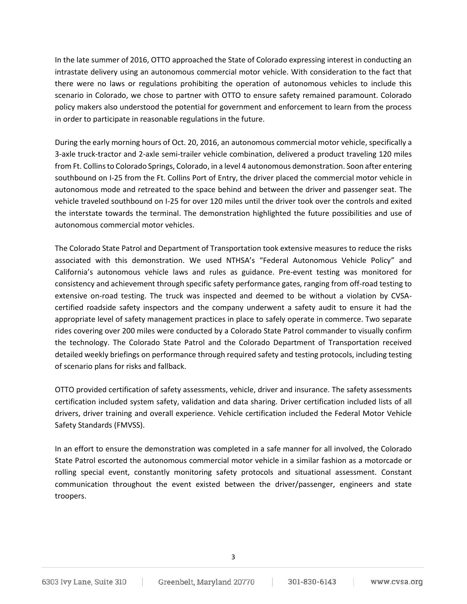In the late summer of 2016, OTTO approached the State of Colorado expressing interest in conducting an intrastate delivery using an autonomous commercial motor vehicle. With consideration to the fact that there were no laws or regulations prohibiting the operation of autonomous vehicles to include this scenario in Colorado, we chose to partner with OTTO to ensure safety remained paramount. Colorado policy makers also understood the potential for government and enforcement to learn from the process in order to participate in reasonable regulations in the future.

During the early morning hours of Oct. 20, 2016, an autonomous commercial motor vehicle, specifically a 3-axle truck-tractor and 2-axle semi-trailer vehicle combination, delivered a product traveling 120 miles from Ft. Collins to Colorado Springs, Colorado, in a level 4 autonomous demonstration. Soon after entering southbound on I-25 from the Ft. Collins Port of Entry, the driver placed the commercial motor vehicle in autonomous mode and retreated to the space behind and between the driver and passenger seat. The vehicle traveled southbound on I-25 for over 120 miles until the driver took over the controls and exited the interstate towards the terminal. The demonstration highlighted the future possibilities and use of autonomous commercial motor vehicles.

The Colorado State Patrol and Department of Transportation took extensive measures to reduce the risks associated with this demonstration. We used NTHSA's "Federal Autonomous Vehicle Policy" and California's autonomous vehicle laws and rules as guidance. Pre-event testing was monitored for consistency and achievement through specific safety performance gates, ranging from off-road testing to extensive on-road testing. The truck was inspected and deemed to be without a violation by CVSAcertified roadside safety inspectors and the company underwent a safety audit to ensure it had the appropriate level of safety management practices in place to safely operate in commerce. Two separate rides covering over 200 miles were conducted by a Colorado State Patrol commander to visually confirm the technology. The Colorado State Patrol and the Colorado Department of Transportation received detailed weekly briefings on performance through required safety and testing protocols, including testing of scenario plans for risks and fallback.

OTTO provided certification of safety assessments, vehicle, driver and insurance. The safety assessments certification included system safety, validation and data sharing. Driver certification included lists of all drivers, driver training and overall experience. Vehicle certification included the Federal Motor Vehicle Safety Standards (FMVSS).

In an effort to ensure the demonstration was completed in a safe manner for all involved, the Colorado State Patrol escorted the autonomous commercial motor vehicle in a similar fashion as a motorcade or rolling special event, constantly monitoring safety protocols and situational assessment. Constant communication throughout the event existed between the driver/passenger, engineers and state troopers.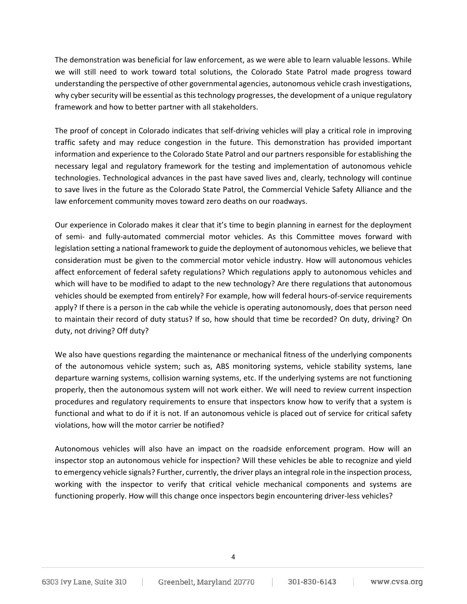The demonstration was beneficial for law enforcement, as we were able to learn valuable lessons. While we will still need to work toward total solutions, the Colorado State Patrol made progress toward understanding the perspective of other governmental agencies, autonomous vehicle crash investigations, why cyber security will be essential as this technology progresses, the development of a unique regulatory framework and how to better partner with all stakeholders.

The proof of concept in Colorado indicates that self-driving vehicles will play a critical role in improving traffic safety and may reduce congestion in the future. This demonstration has provided important information and experience to the Colorado State Patrol and our partners responsible for establishing the necessary legal and regulatory framework for the testing and implementation of autonomous vehicle technologies. Technological advances in the past have saved lives and, clearly, technology will continue to save lives in the future as the Colorado State Patrol, the Commercial Vehicle Safety Alliance and the law enforcement community moves toward zero deaths on our roadways.

Our experience in Colorado makes it clear that it's time to begin planning in earnest for the deployment of semi- and fully-automated commercial motor vehicles. As this Committee moves forward with legislation setting a national framework to guide the deployment of autonomous vehicles, we believe that consideration must be given to the commercial motor vehicle industry. How will autonomous vehicles affect enforcement of federal safety regulations? Which regulations apply to autonomous vehicles and which will have to be modified to adapt to the new technology? Are there regulations that autonomous vehicles should be exempted from entirely? For example, how will federal hours-of-service requirements apply? If there is a person in the cab while the vehicle is operating autonomously, does that person need to maintain their record of duty status? If so, how should that time be recorded? On duty, driving? On duty, not driving? Off duty?

We also have questions regarding the maintenance or mechanical fitness of the underlying components of the autonomous vehicle system; such as, ABS monitoring systems, vehicle stability systems, lane departure warning systems, collision warning systems, etc. If the underlying systems are not functioning properly, then the autonomous system will not work either. We will need to review current inspection procedures and regulatory requirements to ensure that inspectors know how to verify that a system is functional and what to do if it is not. If an autonomous vehicle is placed out of service for critical safety violations, how will the motor carrier be notified?

Autonomous vehicles will also have an impact on the roadside enforcement program. How will an inspector stop an autonomous vehicle for inspection? Will these vehicles be able to recognize and yield to emergency vehicle signals? Further, currently, the driver plays an integral role in the inspection process, working with the inspector to verify that critical vehicle mechanical components and systems are functioning properly. How will this change once inspectors begin encountering driver-less vehicles?